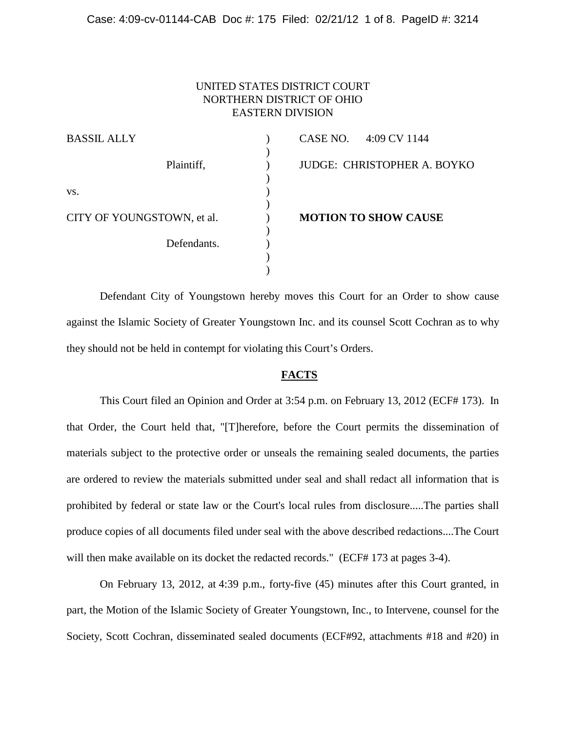## UNITED STATES DISTRICT COURT NORTHERN DISTRICT OF OHIO EASTERN DIVISION

| <b>BASSIL ALLY</b>         | CASE NO. 4:09 CV 1144              |
|----------------------------|------------------------------------|
| Plaintiff,                 | <b>JUDGE: CHRISTOPHER A. BOYKO</b> |
| VS.                        |                                    |
| CITY OF YOUNGSTOWN, et al. | <b>MOTION TO SHOW CAUSE</b>        |
| Defendants.                |                                    |
|                            |                                    |

Defendant City of Youngstown hereby moves this Court for an Order to show cause against the Islamic Society of Greater Youngstown Inc. and its counsel Scott Cochran as to why they should not be held in contempt for violating this Court's Orders.

#### **FACTS**

This Court filed an Opinion and Order at 3:54 p.m. on February 13, 2012 (ECF# 173). In that Order, the Court held that, "[T]herefore, before the Court permits the dissemination of materials subject to the protective order or unseals the remaining sealed documents, the parties are ordered to review the materials submitted under seal and shall redact all information that is prohibited by federal or state law or the Court's local rules from disclosure.....The parties shall produce copies of all documents filed under seal with the above described redactions....The Court will then make available on its docket the redacted records." (ECF# 173 at pages 3-4).

On February 13, 2012, at 4:39 p.m., forty-five (45) minutes after this Court granted, in part, the Motion of the Islamic Society of Greater Youngstown, Inc., to Intervene, counsel for the Society, Scott Cochran, disseminated sealed documents (ECF#92, attachments #18 and #20) in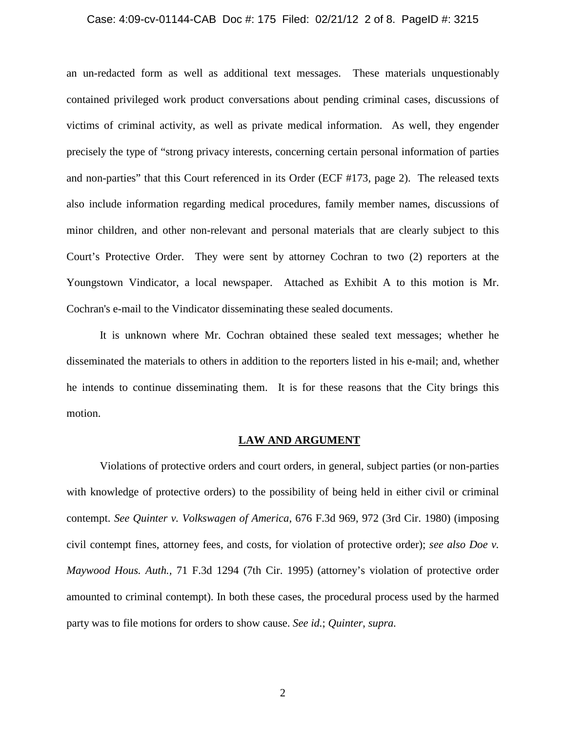#### Case: 4:09-cv-01144-CAB Doc #: 175 Filed: 02/21/12 2 of 8. PageID #: 3215

an un-redacted form as well as additional text messages. These materials unquestionably contained privileged work product conversations about pending criminal cases, discussions of victims of criminal activity, as well as private medical information. As well, they engender precisely the type of "strong privacy interests, concerning certain personal information of parties and non-parties" that this Court referenced in its Order (ECF #173, page 2). The released texts also include information regarding medical procedures, family member names, discussions of minor children, and other non-relevant and personal materials that are clearly subject to this Court's Protective Order. They were sent by attorney Cochran to two (2) reporters at the Youngstown Vindicator, a local newspaper. Attached as Exhibit A to this motion is Mr. Cochran's e-mail to the Vindicator disseminating these sealed documents.

It is unknown where Mr. Cochran obtained these sealed text messages; whether he disseminated the materials to others in addition to the reporters listed in his e-mail; and, whether he intends to continue disseminating them. It is for these reasons that the City brings this motion.

#### **LAW AND ARGUMENT**

Violations of protective orders and court orders, in general, subject parties (or non-parties with knowledge of protective orders) to the possibility of being held in either civil or criminal contempt. *See Quinter v. Volkswagen of America*, 676 F.3d 969, 972 (3rd Cir. 1980) (imposing civil contempt fines, attorney fees, and costs, for violation of protective order); *see also Doe v. Maywood Hous. Auth.,* 71 F.3d 1294 (7th Cir. 1995) (attorney's violation of protective order amounted to criminal contempt). In both these cases, the procedural process used by the harmed party was to file motions for orders to show cause. *See id.*; *Quinter*, *supra.*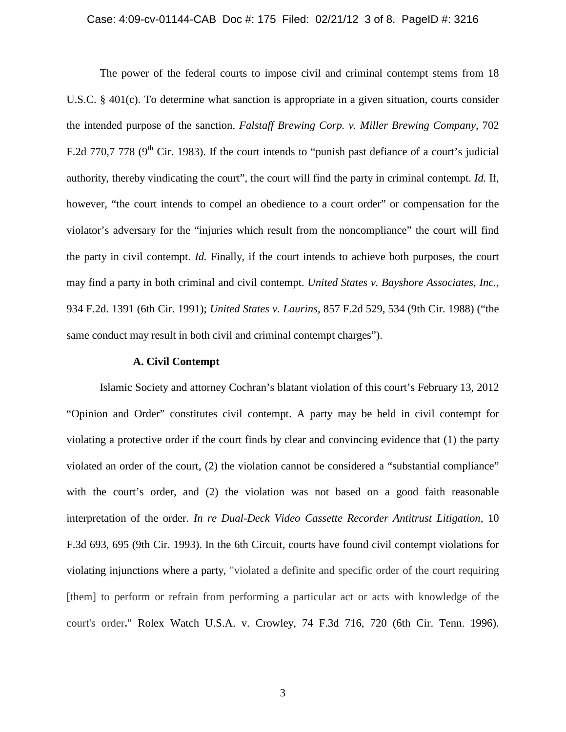#### Case: 4:09-cv-01144-CAB Doc #: 175 Filed: 02/21/12 3 of 8. PageID #: 3216

The power of the federal courts to impose civil and criminal contempt stems from 18 U.S.C. § 401(c). To determine what sanction is appropriate in a given situation, courts consider the intended purpose of the sanction. *Falstaff Brewing Corp. v. Miller Brewing Company,* 702 F.2d 770,7 778 ( $9<sup>th</sup>$  Cir. 1983). If the court intends to "punish past defiance of a court's judicial authority, thereby vindicating the court", the court will find the party in criminal contempt. *Id.* If, however, "the court intends to compel an obedience to a court order" or compensation for the violator's adversary for the "injuries which result from the noncompliance" the court will find the party in civil contempt. *Id.* Finally, if the court intends to achieve both purposes, the court may find a party in both criminal and civil contempt. *United States v. Bayshore Associates, Inc.,*  934 F.2d. 1391 (6th Cir. 1991); *United States v. Laurins,* 857 F.2d 529, 534 (9th Cir. 1988) ("the same conduct may result in both civil and criminal contempt charges").

### **A. Civil Contempt**

Islamic Society and attorney Cochran's blatant violation of this court's February 13, 2012 "Opinion and Order" constitutes civil contempt. A party may be held in civil contempt for violating a protective order if the court finds by clear and convincing evidence that (1) the party violated an order of the court, (2) the violation cannot be considered a "substantial compliance" with the court's order, and (2) the violation was not based on a good faith reasonable interpretation of the order. *In re Dual-Deck Video Cassette Recorder Antitrust Litigation,* 10 F.3d 693, 695 (9th Cir. 1993). In the 6th Circuit, courts have found civil contempt violations for violating injunctions where a party, "violated a definite and specific order of the court requiring [them] to perform or refrain from performing a particular act or acts with knowledge of the court's order**.**" Rolex Watch U.S.A. v. Crowley, 74 F.3d 716, 720 (6th Cir. Tenn. 1996).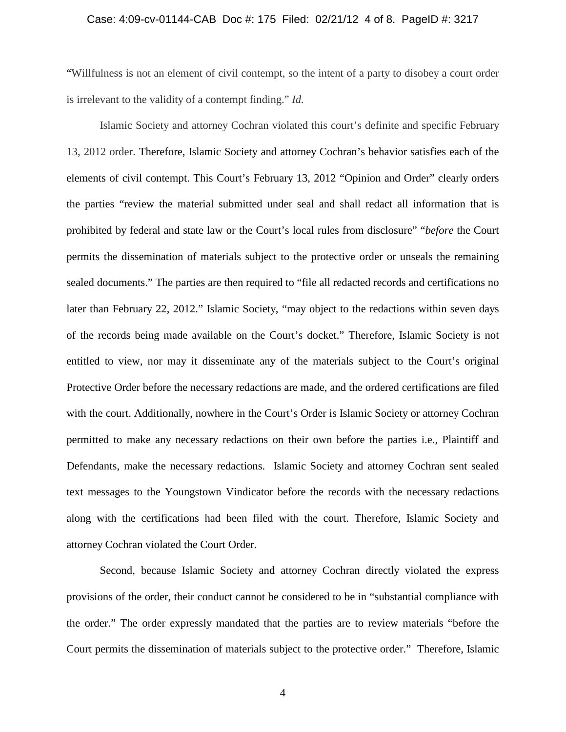#### Case: 4:09-cv-01144-CAB Doc #: 175 Filed: 02/21/12 4 of 8. PageID #: 3217

"Willfulness is not an element of civil contempt, so the intent of a party to disobey a court order is irrelevant to the validity of a contempt finding." *Id.*

Islamic Society and attorney Cochran violated this court's definite and specific February 13, 2012 order. Therefore, Islamic Society and attorney Cochran's behavior satisfies each of the elements of civil contempt. This Court's February 13, 2012 "Opinion and Order" clearly orders the parties "review the material submitted under seal and shall redact all information that is prohibited by federal and state law or the Court's local rules from disclosure" "*before* the Court permits the dissemination of materials subject to the protective order or unseals the remaining sealed documents." The parties are then required to "file all redacted records and certifications no later than February 22, 2012." Islamic Society, "may object to the redactions within seven days of the records being made available on the Court's docket." Therefore, Islamic Society is not entitled to view, nor may it disseminate any of the materials subject to the Court's original Protective Order before the necessary redactions are made, and the ordered certifications are filed with the court. Additionally, nowhere in the Court's Order is Islamic Society or attorney Cochran permitted to make any necessary redactions on their own before the parties i.e., Plaintiff and Defendants, make the necessary redactions. Islamic Society and attorney Cochran sent sealed text messages to the Youngstown Vindicator before the records with the necessary redactions along with the certifications had been filed with the court. Therefore, Islamic Society and attorney Cochran violated the Court Order.

Second, because Islamic Society and attorney Cochran directly violated the express provisions of the order, their conduct cannot be considered to be in "substantial compliance with the order." The order expressly mandated that the parties are to review materials "before the Court permits the dissemination of materials subject to the protective order." Therefore, Islamic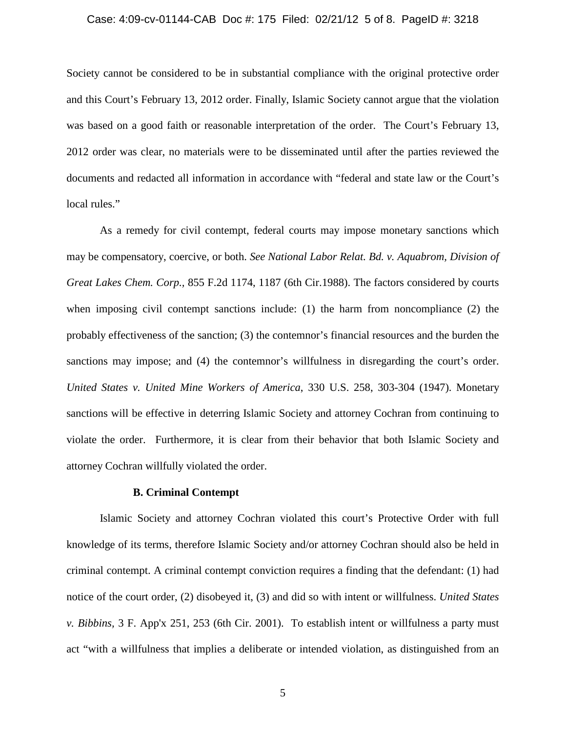#### Case: 4:09-cv-01144-CAB Doc #: 175 Filed: 02/21/12 5 of 8. PageID #: 3218

Society cannot be considered to be in substantial compliance with the original protective order and this Court's February 13, 2012 order. Finally, Islamic Society cannot argue that the violation was based on a good faith or reasonable interpretation of the order. The Court's February 13, 2012 order was clear, no materials were to be disseminated until after the parties reviewed the documents and redacted all information in accordance with "federal and state law or the Court's local rules."

As a remedy for civil contempt, federal courts may impose monetary sanctions which may be compensatory, coercive, or both. *See National Labor Relat. Bd. v. Aquabrom, Division of Great Lakes Chem. Corp.,* 855 F.2d 1174, 1187 (6th Cir.1988). The factors considered by courts when imposing civil contempt sanctions include: (1) the harm from noncompliance (2) the probably effectiveness of the sanction; (3) the contemnor's financial resources and the burden the sanctions may impose; and (4) the contemnor's willfulness in disregarding the court's order. *United States v. United Mine Workers of America*, 330 U.S. 258, 303-304 (1947). Monetary sanctions will be effective in deterring Islamic Society and attorney Cochran from continuing to violate the order. Furthermore, it is clear from their behavior that both Islamic Society and attorney Cochran willfully violated the order.

#### **B. Criminal Contempt**

Islamic Society and attorney Cochran violated this court's Protective Order with full knowledge of its terms, therefore Islamic Society and/or attorney Cochran should also be held in criminal contempt. A criminal contempt conviction requires a finding that the defendant: (1) had notice of the court order, (2) disobeyed it, (3) and did so with intent or willfulness. *United States v. Bibbins,* 3 F. App'x 251, 253 (6th Cir. 2001). To establish intent or willfulness a party must act "with a willfulness that implies a deliberate or intended violation, as distinguished from an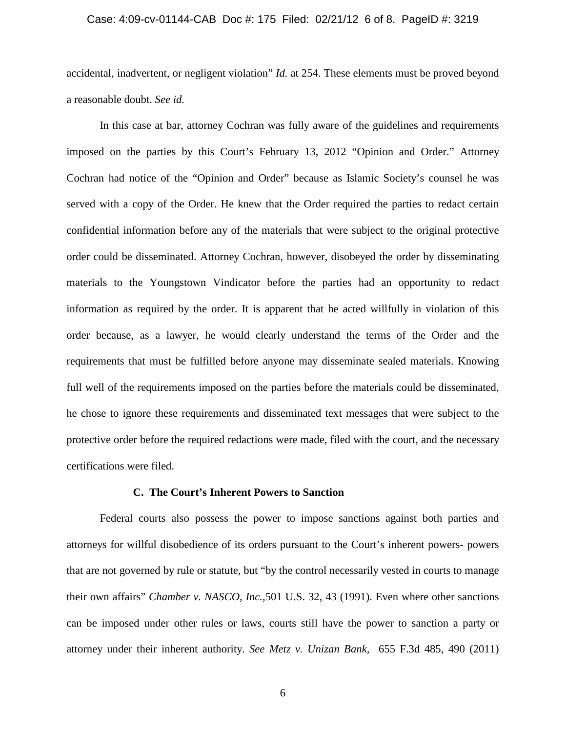#### Case: 4:09-cv-01144-CAB Doc #: 175 Filed: 02/21/12 6 of 8. PageID #: 3219

accidental, inadvertent, or negligent violation" *Id.* at 254. These elements must be proved beyond a reasonable doubt. *See id.*

In this case at bar, attorney Cochran was fully aware of the guidelines and requirements imposed on the parties by this Court's February 13, 2012 "Opinion and Order." Attorney Cochran had notice of the "Opinion and Order" because as Islamic Society's counsel he was served with a copy of the Order. He knew that the Order required the parties to redact certain confidential information before any of the materials that were subject to the original protective order could be disseminated. Attorney Cochran, however, disobeyed the order by disseminating materials to the Youngstown Vindicator before the parties had an opportunity to redact information as required by the order. It is apparent that he acted willfully in violation of this order because, as a lawyer, he would clearly understand the terms of the Order and the requirements that must be fulfilled before anyone may disseminate sealed materials. Knowing full well of the requirements imposed on the parties before the materials could be disseminated, he chose to ignore these requirements and disseminated text messages that were subject to the protective order before the required redactions were made, filed with the court, and the necessary certifications were filed.

#### **C. The Court's Inherent Powers to Sanction**

Federal courts also possess the power to impose sanctions against both parties and attorneys for willful disobedience of its orders pursuant to the Court's inherent powers- powers that are not governed by rule or statute, but "by the control necessarily vested in courts to manage their own affairs" *Chamber v. NASCO, Inc.,*501 U.S. 32, 43 (1991). Even where other sanctions can be imposed under other rules or laws, courts still have the power to sanction a party or attorney under their inherent authority. *See Metz v. Unizan Bank,* 655 F.3d 485, 490 (2011)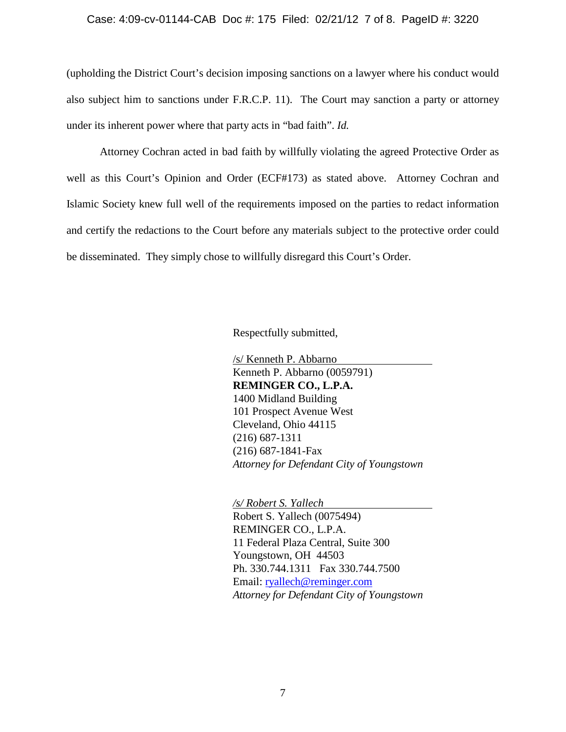#### Case: 4:09-cv-01144-CAB Doc #: 175 Filed: 02/21/12 7 of 8. PageID #: 3220

(upholding the District Court's decision imposing sanctions on a lawyer where his conduct would also subject him to sanctions under F.R.C.P. 11). The Court may sanction a party or attorney under its inherent power where that party acts in "bad faith". *Id.*

Attorney Cochran acted in bad faith by willfully violating the agreed Protective Order as well as this Court's Opinion and Order (ECF#173) as stated above. Attorney Cochran and Islamic Society knew full well of the requirements imposed on the parties to redact information and certify the redactions to the Court before any materials subject to the protective order could be disseminated. They simply chose to willfully disregard this Court's Order.

Respectfully submitted,

/s/ Kenneth P. Abbarno Kenneth P. Abbarno (0059791) **REMINGER CO., L.P.A.**  1400 Midland Building 101 Prospect Avenue West Cleveland, Ohio 44115 (216) 687-1311 (216) 687-1841-Fax *Attorney for Defendant City of Youngstown*

*/s/ Robert S. Yallech*

Robert S. Yallech (0075494) REMINGER CO., L.P.A. 11 Federal Plaza Central, Suite 300 Youngstown, OH 44503 Ph. 330.744.1311 Fax 330.744.7500 Email: [ryallech@reminger.com](mailto:ryallech@reminger.com) *Attorney for Defendant City of Youngstown*